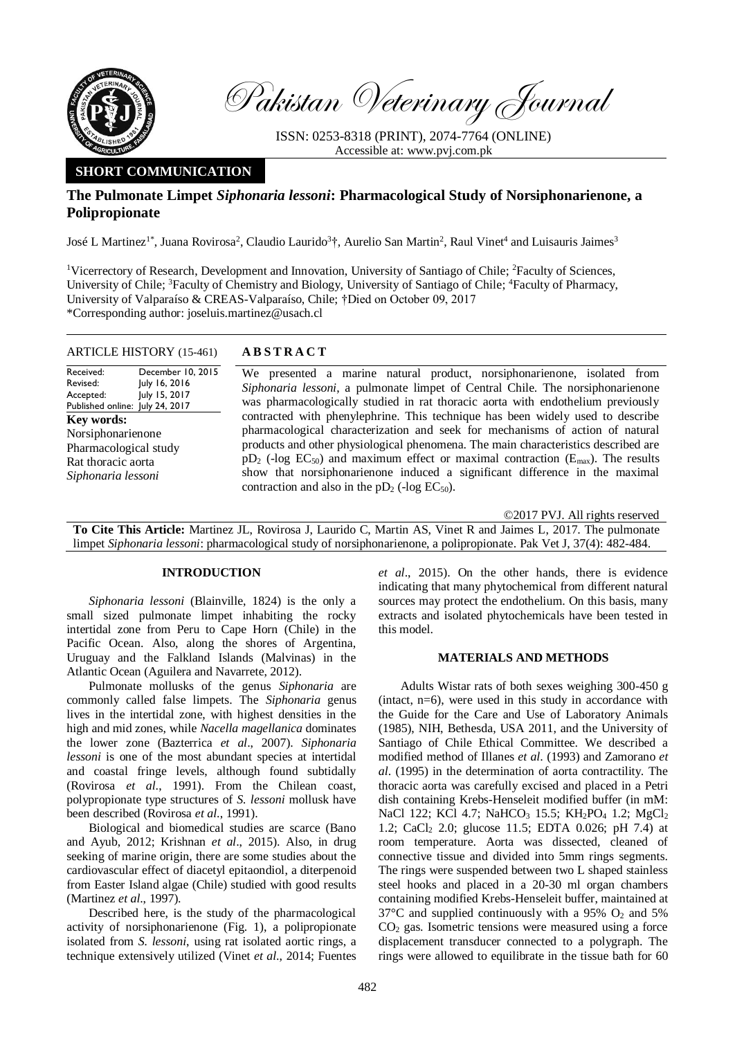

Pakistan Veterinary Journal

ISSN: 0253-8318 (PRINT), 2074-7764 (ONLINE) Accessible at: [www.pvj.com.pk](http://www.pvj.com.pk/)

# **SHORT COMMUNICATION**

# **The Pulmonate Limpet** *Siphonaria lessoni***: Pharmacological Study of Norsiphonarienone, a Polipropionate**

José L Martinez<sup>1\*</sup>, Juana Rovirosa<sup>2</sup>, Claudio Laurido<sup>3</sup>†, Aurelio San Martin<sup>2</sup>, Raul Vinet<sup>4</sup> and Luisauris Jaimes<sup>3</sup>

<sup>1</sup>Vicerrectory of Research, Development and Innovation, University of Santiago of Chile; <sup>2</sup>Faculty of Sciences, University of Chile; <sup>3</sup>Faculty of Chemistry and Biology, University of Santiago of Chile; <sup>4</sup>Faculty of Pharmacy, University of Valparaíso & CREAS-Valparaíso, Chile; †Died on October 09, 2017 \*Corresponding author: joseluis.martinez@usach.cl

ARTICLE HISTORY (15-461) **A B S T R A C T**

#### Received: Revised: Accepted: Published online: December 10, 2015 July 16, 2016 July 15, 2017 July 24, 2017 **Key words:**  Norsiphonarienone Pharmacological study Rat thoracic aorta *Siphonaria lessoni*

We presented a marine natural product, norsiphonarienone, isolated from *Siphonaria lessoni*, a pulmonate limpet of Central Chile. The norsiphonarienone was pharmacologically studied in rat thoracic aorta with endothelium previously contracted with phenylephrine. This technique has been widely used to describe pharmacological characterization and seek for mechanisms of action of natural products and other physiological phenomena. The main characteristics described are  $pD_2$  (-log EC<sub>50</sub>) and maximum effect or maximal contraction ( $E_{\text{max}}$ ). The results show that norsiphonarienone induced a significant difference in the maximal contraction and also in the  $pD_2$  (-log  $EC_{50}$ ).

©2017 PVJ. All rights reserved

**To Cite This Article:** Martinez JL, Rovirosa J, Laurido C, Martin AS, Vinet R and Jaimes L, 2017. The pulmonate limpet *Siphonaria lessoni*: pharmacological study of norsiphonarienone, a polipropionate. Pak Vet J, 37(4): 482-484.

## **INTRODUCTION**

*Siphonaria lessoni* (Blainville, 1824) is the only a small sized pulmonate limpet inhabiting the rocky intertidal zone from Peru to Cape Horn (Chile) in the Pacific Ocean. Also, along the shores of Argentina, Uruguay and the Falkland Islands (Malvinas) in the Atlantic Ocean (Aguilera and Navarrete, 2012).

Pulmonate mollusks of the genus *Siphonaria* are commonly called false limpets. The *Siphonaria* genus lives in the intertidal zone, with highest densities in the high and mid zones, while *Nacella magellanica* dominates the lower zone (Bazterrica *et al*., 2007). *Siphonaria lessoni* is one of the most abundant species at intertidal and coastal fringe levels, although found subtidally (Rovirosa *et al*., 1991). From the Chilean coast, polypropionate type structures of *S. lessoni* mollusk have been described (Rovirosa *et al*., 1991).

Biological and biomedical studies are scarce (Bano and Ayub, 2012; Krishnan *et al*., 2015). Also, in drug seeking of marine origin, there are some studies about the cardiovascular effect of diacetyl epitaondiol, a diterpenoid from Easter Island algae (Chile) studied with good results (Martinez *et al*., 1997).

Described here, is the study of the pharmacological activity of norsiphonarienone (Fig. 1), a polipropionate isolated from *S. lessoni*, using rat isolated aortic rings, a technique extensively utilized (Vinet *et al*., 2014; Fuentes *et al*., 2015). On the other hands, there is evidence indicating that many phytochemical from different natural sources may protect the endothelium. On this basis, many extracts and isolated phytochemicals have been tested in this model.

### **MATERIALS AND METHODS**

Adults Wistar rats of both sexes weighing 300-450 g (intact, n=6), were used in this study in accordance with the Guide for the Care and Use of Laboratory Animals (1985), NIH, Bethesda, USA 2011, and the University of Santiago of Chile Ethical Committee. We described a modified method of Illanes *et al*. (1993) and Zamorano *et al*. (1995) in the determination of aorta contractility. The thoracic aorta was carefully excised and placed in a Petri dish containing Krebs-Henseleit modified buffer (in mM: NaCl 122; KCl 4.7; NaHCO<sub>3</sub> 15.5; KH<sub>2</sub>PO<sub>4</sub> 1.2; MgCl<sub>2</sub> 1.2; CaCl<sub>2</sub> 2.0; glucose 11.5; EDTA 0.026; pH 7.4) at room temperature. Aorta was dissected, cleaned of connective tissue and divided into 5mm rings segments. The rings were suspended between two L shaped stainless steel hooks and placed in a 20-30 ml organ chambers containing modified Krebs-Henseleit buffer, maintained at  $37^{\circ}$ C and supplied continuously with a 95% O<sub>2</sub> and 5%  $CO<sub>2</sub>$  gas. Isometric tensions were measured using a force displacement transducer connected to a polygraph. The rings were allowed to equilibrate in the tissue bath for 60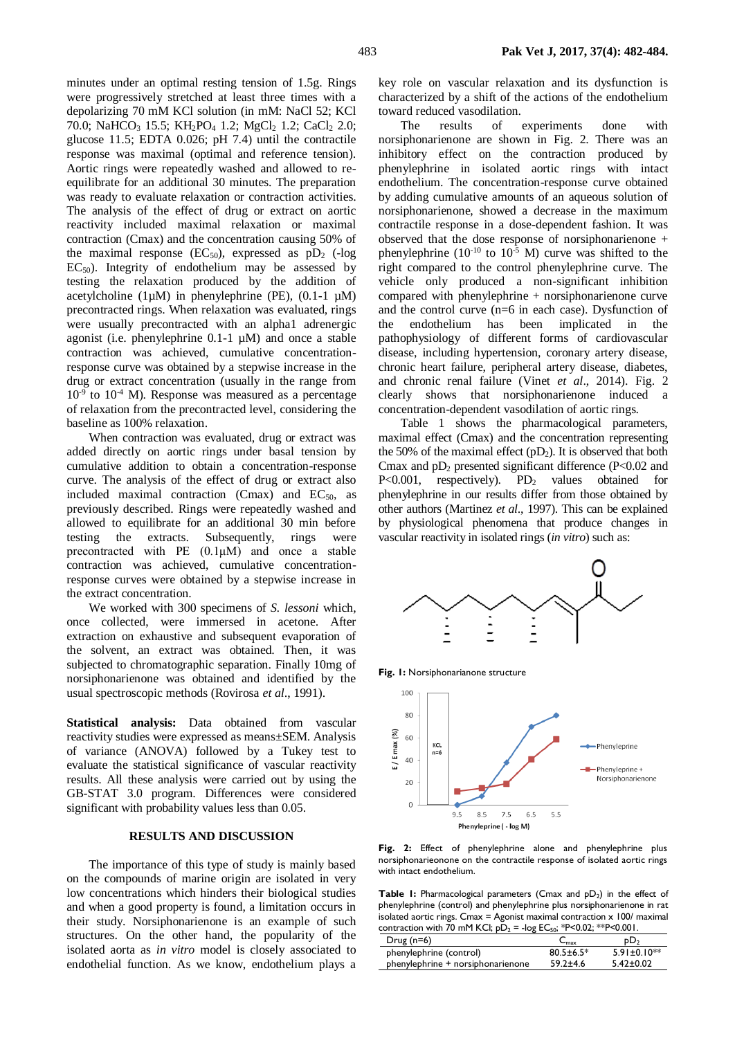minutes under an optimal resting tension of 1.5g. Rings were progressively stretched at least three times with a depolarizing 70 mM KCl solution (in mM: NaCl 52; KCl 70.0; NaHCO<sub>3</sub> 15.5; KH<sub>2</sub>PO<sub>4</sub> 1.2; MgCl<sub>2</sub> 1.2; CaCl<sub>2</sub> 2.0; glucose 11.5; EDTA 0.026; pH 7.4) until the contractile response was maximal (optimal and reference tension). Aortic rings were repeatedly washed and allowed to reequilibrate for an additional 30 minutes. The preparation was ready to evaluate relaxation or contraction activities. The analysis of the effect of drug or extract on aortic reactivity included maximal relaxation or maximal contraction (Cmax) and the concentration causing 50% of the maximal response  $(EC_{50})$ , expressed as  $pD_2$  (-log  $EC_{50}$ ). Integrity of endothelium may be assessed by testing the relaxation produced by the addition of acetylcholine (1 $\mu$ M) in phenylephrine (PE), (0.1-1  $\mu$ M) precontracted rings. When relaxation was evaluated, rings were usually precontracted with an alpha1 adrenergic agonist (i.e. phenylephrine 0.1-1 µM) and once a stable contraction was achieved, cumulative concentrationresponse curve was obtained by a stepwise increase in the drug or extract concentration (usually in the range from  $10^{-9}$  to  $10^{-4}$  M). Response was measured as a percentage of relaxation from the precontracted level, considering the baseline as 100% relaxation.

When contraction was evaluated, drug or extract was added directly on aortic rings under basal tension by cumulative addition to obtain a concentration-response curve. The analysis of the effect of drug or extract also included maximal contraction (Cmax) and  $EC_{50}$ , as previously described. Rings were repeatedly washed and allowed to equilibrate for an additional 30 min before testing the extracts. Subsequently, rings were precontracted with PE (0.1μM) and once a stable contraction was achieved, cumulative concentrationresponse curves were obtained by a stepwise increase in the extract concentration.

We worked with 300 specimens of *S. lessoni* which, once collected, were immersed in acetone. After extraction on exhaustive and subsequent evaporation of the solvent, an extract was obtained. Then, it was subjected to chromatographic separation. Finally 10mg of norsiphonarienone was obtained and identified by the usual spectroscopic methods (Rovirosa *et al*., 1991).

**Statistical analysis:** Data obtained from vascular reactivity studies were expressed as means±SEM. Analysis of variance (ANOVA) followed by a Tukey test to evaluate the statistical significance of vascular reactivity results. All these analysis were carried out by using the GB-STAT 3.0 program. Differences were considered significant with probability values less than 0.05.

#### **RESULTS AND DISCUSSION**

The importance of this type of study is mainly based on the compounds of marine origin are isolated in very low concentrations which hinders their biological studies and when a good property is found, a limitation occurs in their study. Norsiphonarienone is an example of such structures. On the other hand, the popularity of the isolated aorta as *in vitro* model is closely associated to endothelial function. As we know, endothelium plays a key role on vascular relaxation and its dysfunction is characterized by a shift of the actions of the endothelium toward reduced vasodilation.

The results of experiments done with norsiphonarienone are shown in Fig. 2. There was an inhibitory effect on the contraction produced by phenylephrine in isolated aortic rings with intact endothelium. The concentration-response curve obtained by adding cumulative amounts of an aqueous solution of norsiphonarienone, showed a decrease in the maximum contractile response in a dose-dependent fashion. It was observed that the dose response of norsiphonarienone + phenylephrine  $(10^{-10}$  to  $10^{-5}$  M) curve was shifted to the right compared to the control phenylephrine curve. The vehicle only produced a non-significant inhibition compared with phenylephrine + norsiphonarienone curve and the control curve (n=6 in each case). Dysfunction of the endothelium has been implicated in the pathophysiology of different forms of cardiovascular disease, including hypertension, coronary artery disease, chronic heart failure, peripheral artery disease, diabetes, and chronic renal failure (Vinet *et al*., 2014). Fig. 2 clearly shows that norsiphonarienone induced a concentration-dependent vasodilation of aortic rings.

Table 1 shows the pharmacological parameters, maximal effect (Cmax) and the concentration representing the 50% of the maximal effect  $(pD_2)$ . It is observed that both Cmax and  $pD_2$  presented significant difference (P<0.02 and P<0.001, respectively).  $PD_2$  values obtained for phenylephrine in our results differ from those obtained by other authors (Martinez *et al*., 1997). This can be explained by physiological phenomena that produce changes in vascular reactivity in isolated rings (*in vitro*) such as:



**Fig. 1:** Norsiphonarianone structure



**Fig. 2:** Effect of phenylephrine alone and phenylephrine plus norsiphonarieonone on the contractile response of isolated aortic rings with intact endothelium.

Table 1: Pharmacological parameters (Cmax and pD<sub>2</sub>) in the effect of phenylephrine (control) and phenylephrine plus norsiphonarienone in rat isolated aortic rings. Cmax = Agonist maximal contraction  $x$  100/ maximal contraction with  $\bar{70}$  mM KCl;  $p\bar{D}_2$  = -log EC<sub>50</sub>; \*P<0.02; \*\*P<0.001.

| $Drug(n=6)$                       | ∪max            | pD <sub>2</sub>   |
|-----------------------------------|-----------------|-------------------|
| phenylephrine (control)           | $80.5 \pm 6.5*$ | $5.91 \pm 0.10**$ |
| phenylephrine + norsiphonarienone | $59.2 \pm 4.6$  | $5.42 \pm 0.02$   |